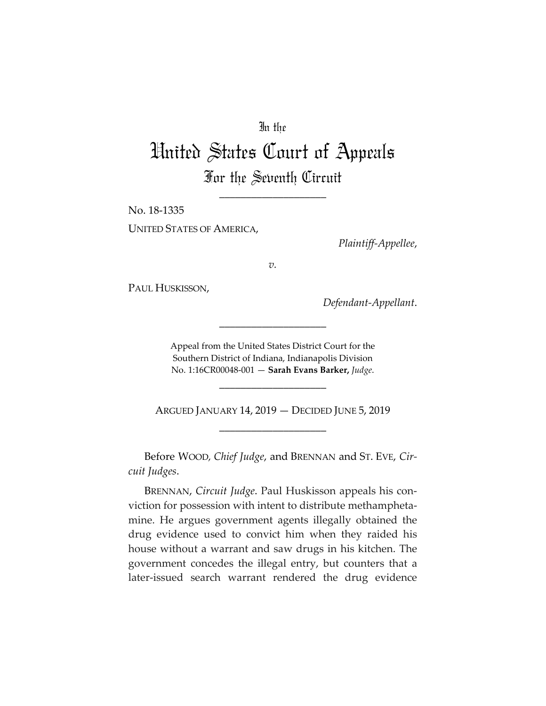# In the

# United States Court of Appeals For the Seventh Circuit

\_\_\_\_\_\_\_\_\_\_\_\_\_\_\_\_\_\_\_\_

No. 18-1335 UNITED STATES OF AMERICA,

*Plaintiff-Appellee*,

*v.*

PAUL HUSKISSON,

*Defendant-Appellant*.

Appeal from the United States District Court for the Southern District of Indiana, Indianapolis Division No. 1:16CR00048-001 — **Sarah Evans Barker,** *Judge*.

\_\_\_\_\_\_\_\_\_\_\_\_\_\_\_\_\_\_\_\_

ARGUED JANUARY 14, 2019 — DECIDED JUNE 5, 2019 \_\_\_\_\_\_\_\_\_\_\_\_\_\_\_\_\_\_\_\_

\_\_\_\_\_\_\_\_\_\_\_\_\_\_\_\_\_\_\_\_

Before WOOD*, Chief Judge*, and BRENNAN and ST. EVE, *Circuit Judges*.

BRENNAN, *Circuit Judge*. Paul Huskisson appeals his conviction for possession with intent to distribute methamphetamine. He argues government agents illegally obtained the drug evidence used to convict him when they raided his house without a warrant and saw drugs in his kitchen. The government concedes the illegal entry, but counters that a later-issued search warrant rendered the drug evidence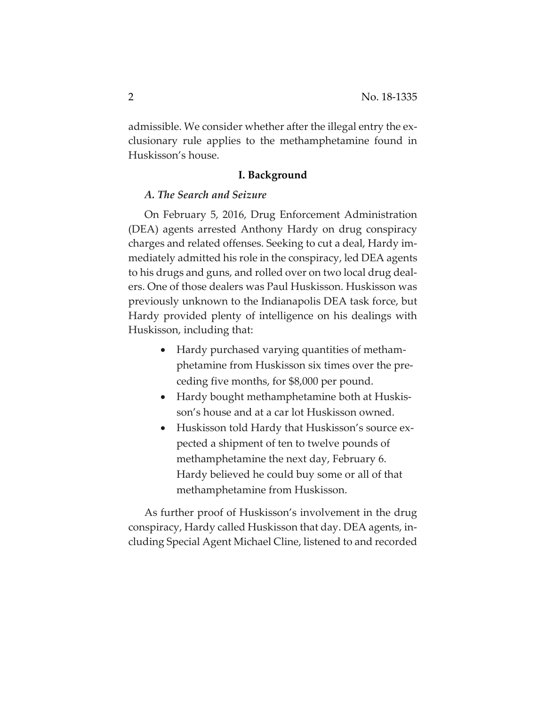admissible. We consider whether after the illegal entry the exclusionary rule applies to the methamphetamine found in Huskisson's house.

### **I. Background**

# *A. The Search and Seizure*

On February 5, 2016, Drug Enforcement Administration (DEA) agents arrested Anthony Hardy on drug conspiracy charges and related offenses. Seeking to cut a deal, Hardy immediately admitted his role in the conspiracy, led DEA agents to his drugs and guns, and rolled over on two local drug dealers. One of those dealers was Paul Huskisson. Huskisson was previously unknown to the Indianapolis DEA task force, but Hardy provided plenty of intelligence on his dealings with Huskisson, including that:

- Hardy purchased varying quantities of methamphetamine from Huskisson six times over the preceding five months, for \$8,000 per pound.
- Hardy bought methamphetamine both at Huskisson's house and at a car lot Huskisson owned.
- Huskisson told Hardy that Huskisson's source expected a shipment of ten to twelve pounds of methamphetamine the next day, February 6. Hardy believed he could buy some or all of that methamphetamine from Huskisson.

As further proof of Huskisson's involvement in the drug conspiracy, Hardy called Huskisson that day. DEA agents, including Special Agent Michael Cline, listened to and recorded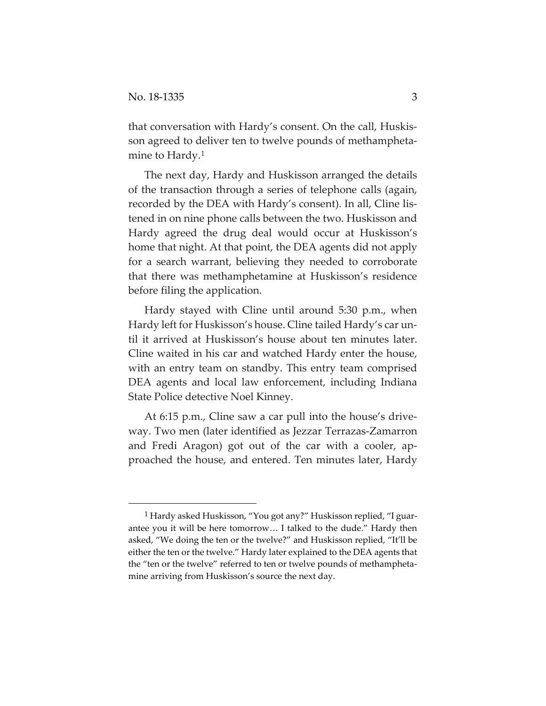that conversation with Hardy's consent. On the call, Huskisson agreed to deliver ten to twelve pounds of methamphetamine to Hardy[.1](#page-2-0)

The next day, Hardy and Huskisson arranged the details of the transaction through a series of telephone calls (again, recorded by the DEA with Hardy's consent). In all, Cline listened in on nine phone calls between the two. Huskisson and Hardy agreed the drug deal would occur at Huskisson's home that night. At that point, the DEA agents did not apply for a search warrant, believing they needed to corroborate that there was methamphetamine at Huskisson's residence before filing the application.

Hardy stayed with Cline until around 5:30 p.m., when Hardy left for Huskisson's house. Cline tailed Hardy's car until it arrived at Huskisson's house about ten minutes later. Cline waited in his car and watched Hardy enter the house, with an entry team on standby. This entry team comprised DEA agents and local law enforcement, including Indiana State Police detective Noel Kinney.

At 6:15 p.m., Cline saw a car pull into the house's driveway. Two men (later identified as Jezzar Terrazas-Zamarron and Fredi Aragon) got out of the car with a cooler, approached the house, and entered. Ten minutes later, Hardy

<span id="page-2-0"></span> <sup>1</sup> Hardy asked Huskisson, "You got any?" Huskisson replied, "I guarantee you it will be here tomorrow… I talked to the dude." Hardy then asked, "We doing the ten or the twelve?" and Huskisson replied, "It'll be either the ten or the twelve." Hardy later explained to the DEA agents that the "ten or the twelve" referred to ten or twelve pounds of methamphetamine arriving from Huskisson's source the next day.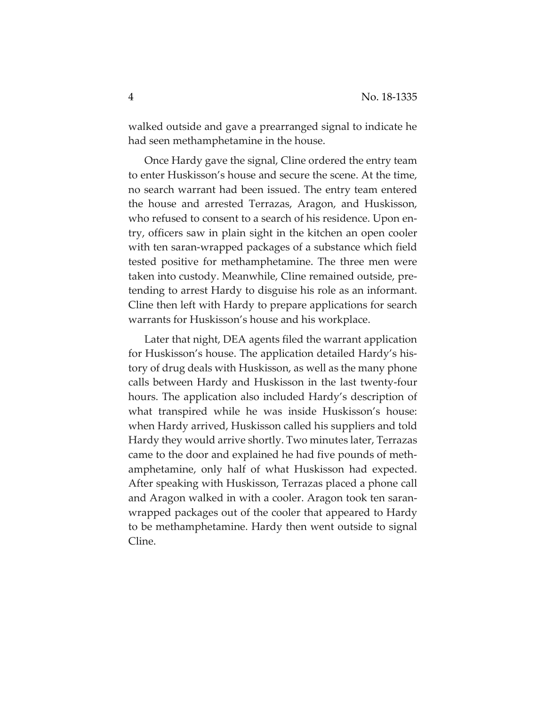walked outside and gave a prearranged signal to indicate he had seen methamphetamine in the house.

Once Hardy gave the signal, Cline ordered the entry team to enter Huskisson's house and secure the scene. At the time, no search warrant had been issued. The entry team entered the house and arrested Terrazas, Aragon, and Huskisson, who refused to consent to a search of his residence. Upon entry, officers saw in plain sight in the kitchen an open cooler with ten saran-wrapped packages of a substance which field tested positive for methamphetamine. The three men were taken into custody. Meanwhile, Cline remained outside, pretending to arrest Hardy to disguise his role as an informant. Cline then left with Hardy to prepare applications for search warrants for Huskisson's house and his workplace.

Later that night, DEA agents filed the warrant application for Huskisson's house. The application detailed Hardy's history of drug deals with Huskisson, as well as the many phone calls between Hardy and Huskisson in the last twenty-four hours. The application also included Hardy's description of what transpired while he was inside Huskisson's house: when Hardy arrived, Huskisson called his suppliers and told Hardy they would arrive shortly. Two minutes later, Terrazas came to the door and explained he had five pounds of methamphetamine, only half of what Huskisson had expected. After speaking with Huskisson, Terrazas placed a phone call and Aragon walked in with a cooler. Aragon took ten saranwrapped packages out of the cooler that appeared to Hardy to be methamphetamine. Hardy then went outside to signal Cline.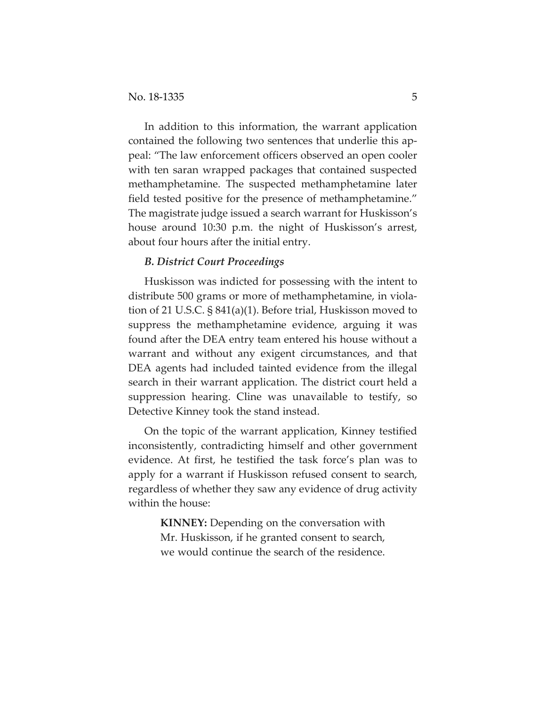In addition to this information, the warrant application contained the following two sentences that underlie this appeal: "The law enforcement officers observed an open cooler with ten saran wrapped packages that contained suspected methamphetamine. The suspected methamphetamine later field tested positive for the presence of methamphetamine." The magistrate judge issued a search warrant for Huskisson's house around 10:30 p.m. the night of Huskisson's arrest, about four hours after the initial entry.

# *B. District Court Proceedings*

Huskisson was indicted for possessing with the intent to distribute 500 grams or more of methamphetamine, in violation of 21 U.S.C. § 841(a)(1). Before trial, Huskisson moved to suppress the methamphetamine evidence, arguing it was found after the DEA entry team entered his house without a warrant and without any exigent circumstances, and that DEA agents had included tainted evidence from the illegal search in their warrant application. The district court held a suppression hearing. Cline was unavailable to testify, so Detective Kinney took the stand instead.

On the topic of the warrant application, Kinney testified inconsistently, contradicting himself and other government evidence. At first, he testified the task force's plan was to apply for a warrant if Huskisson refused consent to search, regardless of whether they saw any evidence of drug activity within the house:

> **KINNEY:** Depending on the conversation with Mr. Huskisson, if he granted consent to search, we would continue the search of the residence.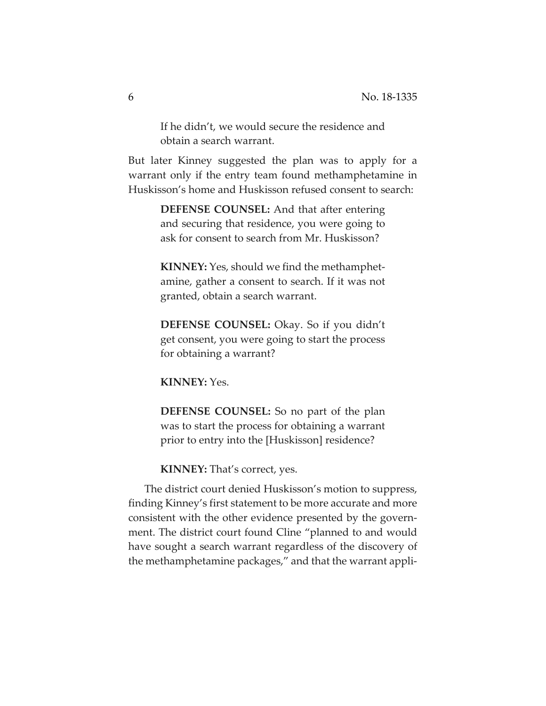If he didn't, we would secure the residence and obtain a search warrant.

But later Kinney suggested the plan was to apply for a warrant only if the entry team found methamphetamine in Huskisson's home and Huskisson refused consent to search:

> **DEFENSE COUNSEL:** And that after entering and securing that residence, you were going to ask for consent to search from Mr. Huskisson?

> **KINNEY:** Yes, should we find the methamphetamine, gather a consent to search. If it was not granted, obtain a search warrant.

> **DEFENSE COUNSEL:** Okay. So if you didn't get consent, you were going to start the process for obtaining a warrant?

**KINNEY:** Yes.

**DEFENSE COUNSEL:** So no part of the plan was to start the process for obtaining a warrant prior to entry into the [Huskisson] residence?

**KINNEY:** That's correct, yes.

The district court denied Huskisson's motion to suppress, finding Kinney's first statement to be more accurate and more consistent with the other evidence presented by the government. The district court found Cline "planned to and would have sought a search warrant regardless of the discovery of the methamphetamine packages," and that the warrant appli-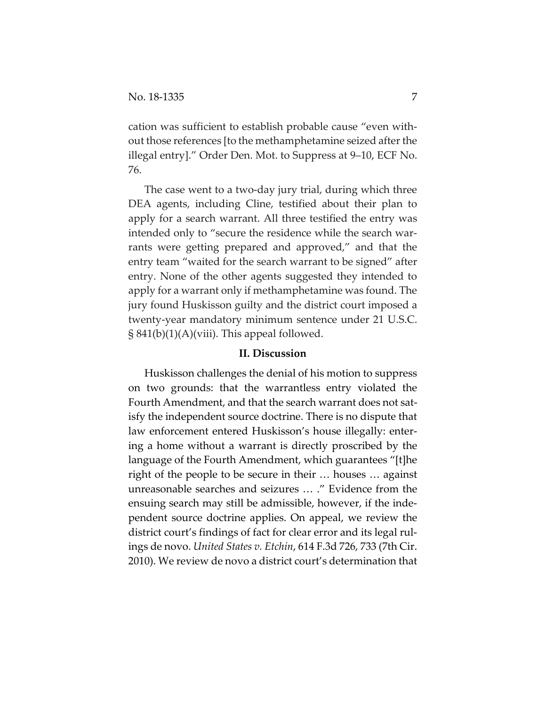cation was sufficient to establish probable cause "even without those references [to the methamphetamine seized after the illegal entry]." Order Den. Mot. to Suppress at 9–10, ECF No. 76.

The case went to a two-day jury trial, during which three DEA agents, including Cline, testified about their plan to apply for a search warrant. All three testified the entry was intended only to "secure the residence while the search warrants were getting prepared and approved," and that the entry team "waited for the search warrant to be signed" after entry. None of the other agents suggested they intended to apply for a warrant only if methamphetamine was found. The jury found Huskisson guilty and the district court imposed a twenty-year mandatory minimum sentence under 21 U.S.C. § 841(b)(1)(A)(viii). This appeal followed.

## **II. Discussion**

Huskisson challenges the denial of his motion to suppress on two grounds: that the warrantless entry violated the Fourth Amendment, and that the search warrant does not satisfy the independent source doctrine. There is no dispute that law enforcement entered Huskisson's house illegally: entering a home without a warrant is directly proscribed by the language of the Fourth Amendment, which guarantees "[t]he right of the people to be secure in their … houses … against unreasonable searches and seizures … ." Evidence from the ensuing search may still be admissible, however, if the independent source doctrine applies. On appeal, we review the district court's findings of fact for clear error and its legal rulings de novo. *United States v. Etchin*, 614 F.3d 726, 733 (7th Cir. 2010). We review de novo a district court's determination that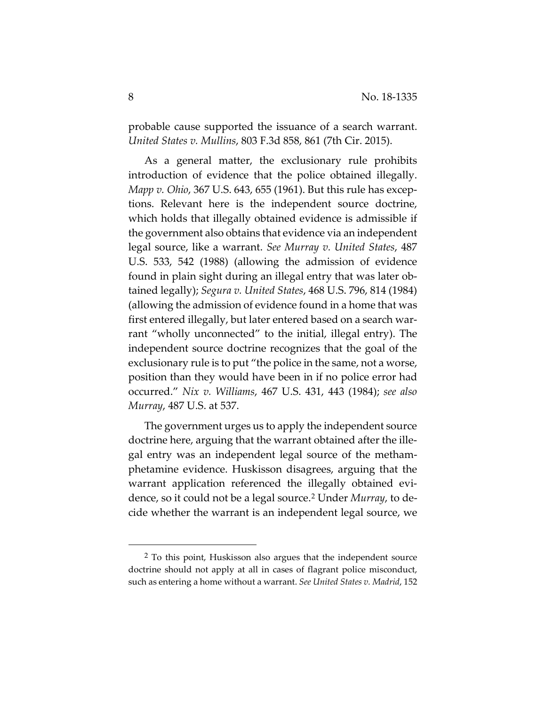probable cause supported the issuance of a search warrant. *United States v. Mullins*, 803 F.3d 858, 861 (7th Cir. 2015).

As a general matter, the exclusionary rule prohibits introduction of evidence that the police obtained illegally. *Mapp v. Ohio*, 367 U.S. 643, 655 (1961). But this rule has exceptions. Relevant here is the independent source doctrine, which holds that illegally obtained evidence is admissible if the government also obtains that evidence via an independent legal source, like a warrant. *See Murray v. United States*, 487 U.S. 533, 542 (1988) (allowing the admission of evidence found in plain sight during an illegal entry that was later obtained legally); *Segura v. United States*, 468 U.S. 796, 814 (1984) (allowing the admission of evidence found in a home that was first entered illegally, but later entered based on a search warrant "wholly unconnected" to the initial, illegal entry). The independent source doctrine recognizes that the goal of the exclusionary rule is to put "the police in the same, not a worse, position than they would have been in if no police error had occurred." *Nix v. Williams*, 467 U.S. 431, 443 (1984); *see also Murray*, 487 U.S. at 537.

The government urges us to apply the independent source doctrine here, arguing that the warrant obtained after the illegal entry was an independent legal source of the methamphetamine evidence. Huskisson disagrees, arguing that the warrant application referenced the illegally obtained evidence, so it could not be a legal source.[2](#page-7-0) Under *Murray*, to decide whether the warrant is an independent legal source, we

<span id="page-7-0"></span> <sup>2</sup> To this point, Huskisson also argues that the independent source doctrine should not apply at all in cases of flagrant police misconduct, such as entering a home without a warrant. *See United States v. Madrid*, 152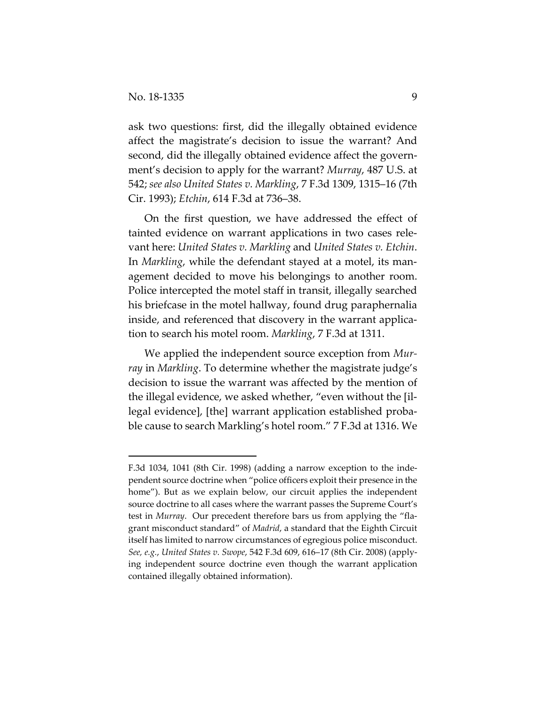$\overline{a}$ 

ask two questions: first, did the illegally obtained evidence affect the magistrate's decision to issue the warrant? And second, did the illegally obtained evidence affect the government's decision to apply for the warrant? *Murray*, 487 U.S. at 542; *see also United States v. Markling*, 7 F.3d 1309, 1315–16 (7th Cir. 1993); *Etchin*, 614 F.3d at 736–38.

On the first question, we have addressed the effect of tainted evidence on warrant applications in two cases relevant here: *United States v. Markling* and *United States v. Etchin*. In *Markling*, while the defendant stayed at a motel, its management decided to move his belongings to another room. Police intercepted the motel staff in transit, illegally searched his briefcase in the motel hallway, found drug paraphernalia inside, and referenced that discovery in the warrant application to search his motel room. *Markling*, 7 F.3d at 1311.

We applied the independent source exception from *Murray* in *Markling*. To determine whether the magistrate judge's decision to issue the warrant was affected by the mention of the illegal evidence, we asked whether, "even without the [illegal evidence], [the] warrant application established probable cause to search Markling's hotel room." 7 F.3d at 1316. We

F.3d 1034, 1041 (8th Cir. 1998) (adding a narrow exception to the independent source doctrine when "police officers exploit their presence in the home"). But as we explain below, our circuit applies the independent source doctrine to all cases where the warrant passes the Supreme Court's test in *Murray*. Our precedent therefore bars us from applying the "flagrant misconduct standard" of *Madrid*, a standard that the Eighth Circuit itself has limited to narrow circumstances of egregious police misconduct. *See, e.g.*, *United States v. Swope*, 542 F.3d 609, 616–17 (8th Cir. 2008) (applying independent source doctrine even though the warrant application contained illegally obtained information).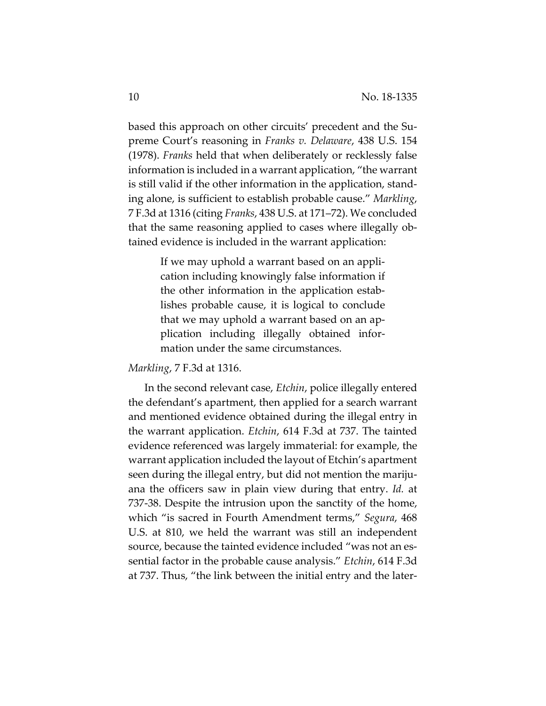based this approach on other circuits' precedent and the Supreme Court's reasoning in *Franks v. Delaware*, 438 U.S. 154 (1978). *Franks* held that when deliberately or recklessly false information is included in a warrant application, "the warrant is still valid if the other information in the application, standing alone, is sufficient to establish probable cause." *Markling*, 7 F.3d at 1316 (citing *Franks*, 438 U.S. at 171–72). We concluded that the same reasoning applied to cases where illegally obtained evidence is included in the warrant application:

> If we may uphold a warrant based on an application including knowingly false information if the other information in the application establishes probable cause, it is logical to conclude that we may uphold a warrant based on an application including illegally obtained information under the same circumstances.

#### *Markling*, 7 F.3d at 1316.

In the second relevant case, *Etchin*, police illegally entered the defendant's apartment, then applied for a search warrant and mentioned evidence obtained during the illegal entry in the warrant application. *Etchin*, 614 F.3d at 737. The tainted evidence referenced was largely immaterial: for example, the warrant application included the layout of Etchin's apartment seen during the illegal entry, but did not mention the marijuana the officers saw in plain view during that entry. *Id.* at 737-38. Despite the intrusion upon the sanctity of the home, which "is sacred in Fourth Amendment terms," *Segura*, 468 U.S. at 810, we held the warrant was still an independent source, because the tainted evidence included "was not an essential factor in the probable cause analysis." *Etchin*, 614 F.3d at 737. Thus, "the link between the initial entry and the later-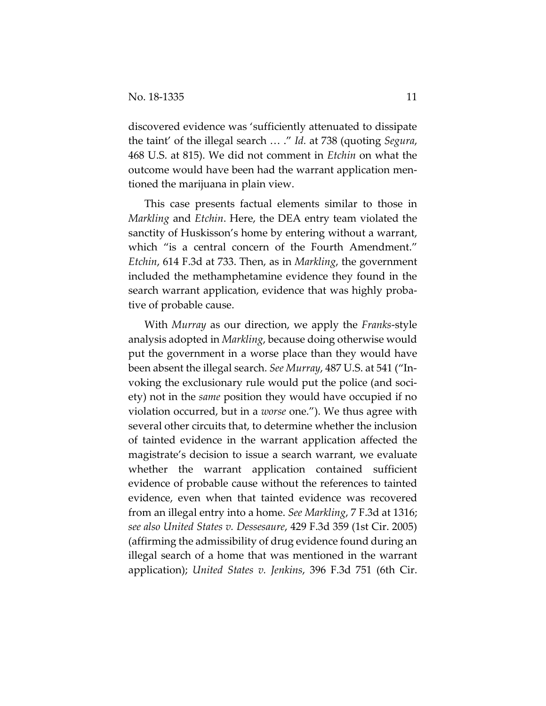discovered evidence was 'sufficiently attenuated to dissipate the taint' of the illegal search … ." *Id.* at 738 (quoting *Segura*, 468 U.S. at 815). We did not comment in *Etchin* on what the outcome would have been had the warrant application mentioned the marijuana in plain view.

This case presents factual elements similar to those in *Markling* and *Etchin*. Here, the DEA entry team violated the sanctity of Huskisson's home by entering without a warrant, which "is a central concern of the Fourth Amendment." *Etchin*, 614 F.3d at 733. Then, as in *Markling*, the government included the methamphetamine evidence they found in the search warrant application, evidence that was highly probative of probable cause.

With *Murray* as our direction, we apply the *Franks*-style analysis adopted in *Markling*, because doing otherwise would put the government in a worse place than they would have been absent the illegal search. *See Murray*, 487 U.S. at 541 ("Invoking the exclusionary rule would put the police (and society) not in the *same* position they would have occupied if no violation occurred, but in a *worse* one."). We thus agree with several other circuits that, to determine whether the inclusion of tainted evidence in the warrant application affected the magistrate's decision to issue a search warrant, we evaluate whether the warrant application contained sufficient evidence of probable cause without the references to tainted evidence, even when that tainted evidence was recovered from an illegal entry into a home. *See Markling*, 7 F.3d at 1316; *see also United States v. Dessesaure*, 429 F.3d 359 (1st Cir. 2005) (affirming the admissibility of drug evidence found during an illegal search of a home that was mentioned in the warrant application); *United States v. Jenkins*, 396 F.3d 751 (6th Cir.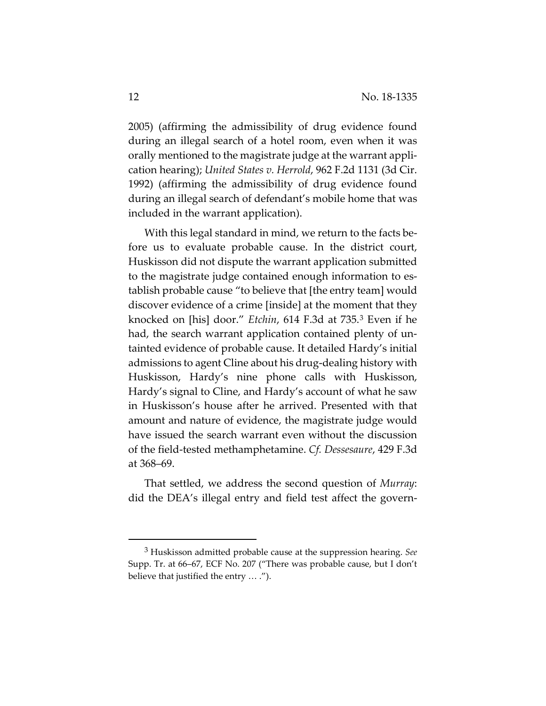2005) (affirming the admissibility of drug evidence found during an illegal search of a hotel room, even when it was orally mentioned to the magistrate judge at the warrant application hearing); *United States v. Herrold*, 962 F.2d 1131 (3d Cir. 1992) (affirming the admissibility of drug evidence found during an illegal search of defendant's mobile home that was included in the warrant application).

With this legal standard in mind, we return to the facts before us to evaluate probable cause. In the district court, Huskisson did not dispute the warrant application submitted to the magistrate judge contained enough information to establish probable cause "to believe that [the entry team] would discover evidence of a crime [inside] at the moment that they knocked on [his] door." *Etchin*, 614 F.3d at 735.[3](#page-11-0) Even if he had, the search warrant application contained plenty of untainted evidence of probable cause. It detailed Hardy's initial admissions to agent Cline about his drug-dealing history with Huskisson, Hardy's nine phone calls with Huskisson, Hardy's signal to Cline, and Hardy's account of what he saw in Huskisson's house after he arrived. Presented with that amount and nature of evidence, the magistrate judge would have issued the search warrant even without the discussion of the field-tested methamphetamine. *Cf. Dessesaure*, 429 F.3d at 368–69.

That settled, we address the second question of *Murray*: did the DEA's illegal entry and field test affect the govern-

<span id="page-11-0"></span> <sup>3</sup> Huskisson admitted probable cause at the suppression hearing. *See* Supp. Tr. at 66–67, ECF No. 207 ("There was probable cause, but I don't believe that justified the entry … .").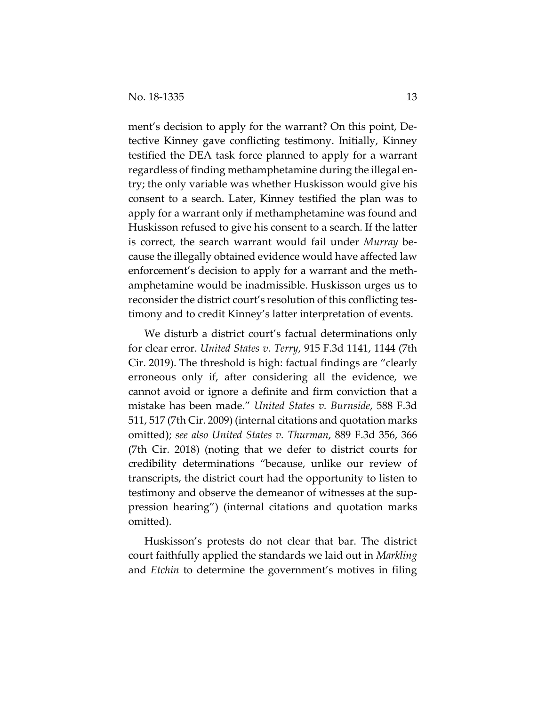ment's decision to apply for the warrant? On this point, Detective Kinney gave conflicting testimony. Initially, Kinney testified the DEA task force planned to apply for a warrant regardless of finding methamphetamine during the illegal entry; the only variable was whether Huskisson would give his consent to a search. Later, Kinney testified the plan was to apply for a warrant only if methamphetamine was found and Huskisson refused to give his consent to a search. If the latter is correct, the search warrant would fail under *Murray* because the illegally obtained evidence would have affected law enforcement's decision to apply for a warrant and the methamphetamine would be inadmissible. Huskisson urges us to reconsider the district court's resolution of this conflicting testimony and to credit Kinney's latter interpretation of events.

We disturb a district court's factual determinations only for clear error. *United States v. Terry*, 915 F.3d 1141, 1144 (7th Cir. 2019). The threshold is high: factual findings are "clearly erroneous only if, after considering all the evidence, we cannot avoid or ignore a definite and firm conviction that a mistake has been made." *United States v. Burnside*, 588 F.3d 511, 517 (7th Cir. 2009) (internal citations and quotation marks omitted); *see also United States v. Thurman*, 889 F.3d 356, 366 (7th Cir. 2018) (noting that we defer to district courts for credibility determinations "because, unlike our review of transcripts, the district court had the opportunity to listen to testimony and observe the demeanor of witnesses at the suppression hearing") (internal citations and quotation marks omitted).

Huskisson's protests do not clear that bar. The district court faithfully applied the standards we laid out in *Markling* and *Etchin* to determine the government's motives in filing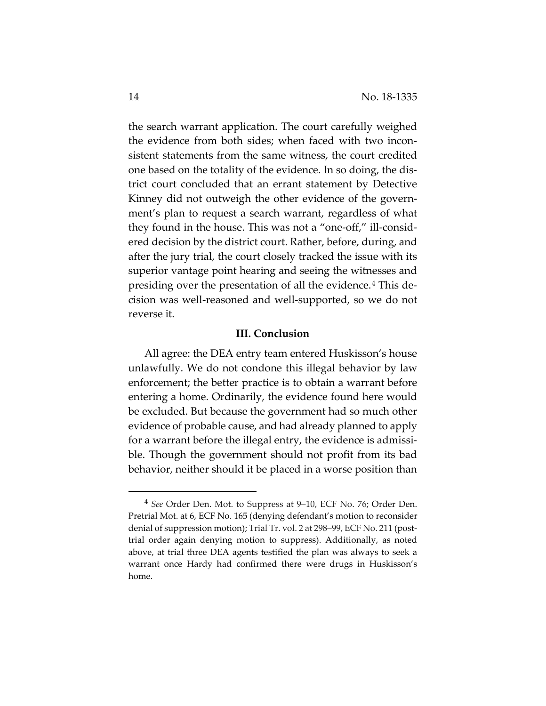the search warrant application. The court carefully weighed the evidence from both sides; when faced with two inconsistent statements from the same witness, the court credited one based on the totality of the evidence. In so doing, the district court concluded that an errant statement by Detective Kinney did not outweigh the other evidence of the government's plan to request a search warrant, regardless of what they found in the house. This was not a "one-off," ill-considered decision by the district court. Rather, before, during, and after the jury trial, the court closely tracked the issue with its superior vantage point hearing and seeing the witnesses and presiding over the presentation of all the evidence.[4](#page-13-0) This decision was well-reasoned and well-supported, so we do not reverse it.

#### **III. Conclusion**

All agree: the DEA entry team entered Huskisson's house unlawfully. We do not condone this illegal behavior by law enforcement; the better practice is to obtain a warrant before entering a home. Ordinarily, the evidence found here would be excluded. But because the government had so much other evidence of probable cause, and had already planned to apply for a warrant before the illegal entry, the evidence is admissible. Though the government should not profit from its bad behavior, neither should it be placed in a worse position than

<span id="page-13-0"></span> <sup>4</sup> *See* Order Den. Mot. to Suppress at 9–10, ECF No. 76; Order Den. Pretrial Mot. at 6, ECF No. 165 (denying defendant's motion to reconsider denial of suppression motion); Trial Tr. vol. 2 at 298–99, ECF No. 211 (posttrial order again denying motion to suppress). Additionally, as noted above, at trial three DEA agents testified the plan was always to seek a warrant once Hardy had confirmed there were drugs in Huskisson's home.